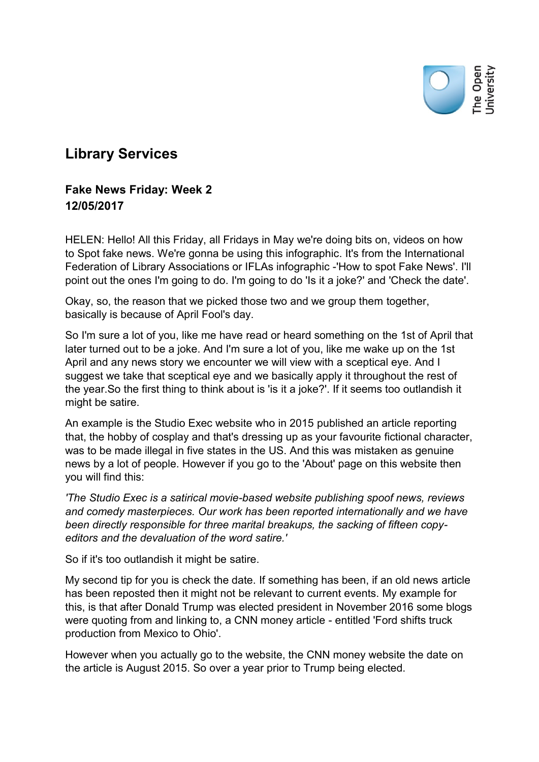

## **Library Services**

## **Fake News Friday: Week 2 12/05/2017**

HELEN: Hello! All this Friday, all Fridays in May we're doing bits on, videos on how to Spot fake news. We're gonna be using this infographic. It's from the International Federation of Library Associations or IFLAs infographic -'How to spot Fake News'. I'll point out the ones I'm going to do. I'm going to do 'Is it a joke?' and 'Check the date'.

Okay, so, the reason that we picked those two and we group them together, basically is because of April Fool's day.

So I'm sure a lot of you, like me have read or heard something on the 1st of April that later turned out to be a joke. And I'm sure a lot of you, like me wake up on the 1st April and any news story we encounter we will view with a sceptical eve. And I suggest we take that sceptical eye and we basically apply it throughout the rest of the year.So the first thing to think about is 'is it a joke?'. If it seems too outlandish it might be satire.

An example is the Studio Exec website who in 2015 published an article reporting that, the hobby of cosplay and that's dressing up as your favourite fictional character, was to be made illegal in five states in the US. And this was mistaken as genuine news by a lot of people. However if you go to the 'About' page on this website then you will find this:

*'The Studio Exec is a satirical movie-based website publishing spoof news, reviews and comedy masterpieces. Our work has been reported internationally and we have been directly responsible for three marital breakups, the sacking of fifteen copyeditors and the devaluation of the word satire.'*

So if it's too outlandish it might be satire.

My second tip for you is check the date. If something has been, if an old news article has been reposted then it might not be relevant to current events. My example for this, is that after Donald Trump was elected president in November 2016 some blogs were quoting from and linking to, a CNN money article - entitled 'Ford shifts truck production from Mexico to Ohio'.

However when you actually go to the website, the CNN money website the date on the article is August 2015. So over a year prior to Trump being elected.